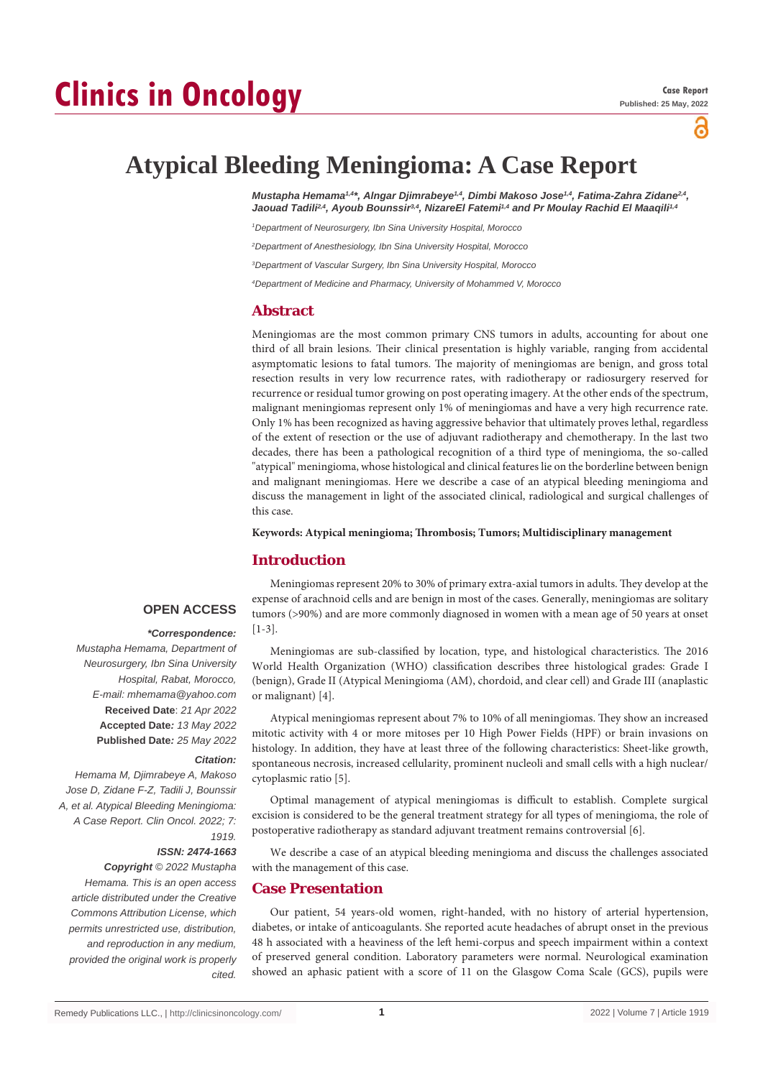õ

# **Atypical Bleeding Meningioma: A Case Report**

*Mustapha Hemama1,4\*, Alngar Djimrabeye1,4, Dimbi Makoso Jose1,4, Fatima-Zahra Zidane2,4,*  Jaouad Tadili<sup>2,4</sup>, Ayoub Bounssir<sup>3,4</sup>, NizareEl Fatemi<sup>1,4</sup> and Pr Moulay Rachid El Maaqili<sup>1,4</sup>

*1 Department of Neurosurgery, Ibn Sina University Hospital, Morocco*

*2 Department of Anesthesiology, Ibn Sina University Hospital, Morocco*

*3 Department of Vascular Surgery, Ibn Sina University Hospital, Morocco*

*4 Department of Medicine and Pharmacy, University of Mohammed V, Morocco*

# **Abstract**

Meningiomas are the most common primary CNS tumors in adults, accounting for about one third of all brain lesions. Their clinical presentation is highly variable, ranging from accidental asymptomatic lesions to fatal tumors. The majority of meningiomas are benign, and gross total resection results in very low recurrence rates, with radiotherapy or radiosurgery reserved for recurrence or residual tumor growing on post operating imagery. At the other ends of the spectrum, malignant meningiomas represent only 1% of meningiomas and have a very high recurrence rate. Only 1% has been recognized as having aggressive behavior that ultimately proves lethal, regardless of the extent of resection or the use of adjuvant radiotherapy and chemotherapy. In the last two decades, there has been a pathological recognition of a third type of meningioma, the so-called "atypical" meningioma, whose histological and clinical features lie on the borderline between benign and malignant meningiomas. Here we describe a case of an atypical bleeding meningioma and discuss the management in light of the associated clinical, radiological and surgical challenges of this case.

#### **Keywords: Atypical meningioma; Thrombosis; Tumors; Multidisciplinary management**

## **Introduction**

# **OPEN ACCESS**

#### *\*Correspondence:*

*Mustapha Hemama, Department of Neurosurgery, Ibn Sina University Hospital, Rabat, Morocco, E-mail: mhemama@yahoo.com* **Received Date**: *21 Apr 2022* **Accepted Date***: 13 May 2022* **Published Date***: 25 May 2022*

#### *Citation:*

*Hemama M, Djimrabeye A, Makoso Jose D, Zidane F-Z, Tadili J, Bounssir A, et al. Atypical Bleeding Meningioma: A Case Report. Clin Oncol. 2022; 7: 1919.*

## *ISSN: 2474-1663*

*Copyright © 2022 Mustapha Hemama. This is an open access article distributed under the Creative Commons Attribution License, which permits unrestricted use, distribution, and reproduction in any medium, provided the original work is properly cited.*

Meningiomas represent 20% to 30% of primary extra-axial tumors in adults. They develop at the expense of arachnoid cells and are benign in most of the cases. Generally, meningiomas are solitary tumors (>90%) and are more commonly diagnosed in women with a mean age of 50 years at onset [1-3].

Meningiomas are sub-classified by location, type, and histological characteristics. The 2016 World Health Organization (WHO) classification describes three histological grades: Grade I (benign), Grade II (Atypical Meningioma (AM), chordoid, and clear cell) and Grade III (anaplastic or malignant) [4].

Atypical meningiomas represent about 7% to 10% of all meningiomas. They show an increased mitotic activity with 4 or more mitoses per 10 High Power Fields (HPF) or brain invasions on histology. In addition, they have at least three of the following characteristics: Sheet-like growth, spontaneous necrosis, increased cellularity, prominent nucleoli and small cells with a high nuclear/ cytoplasmic ratio [5].

Optimal management of atypical meningiomas is difficult to establish. Complete surgical excision is considered to be the general treatment strategy for all types of meningioma, the role of postoperative radiotherapy as standard adjuvant treatment remains controversial [6].

We describe a case of an atypical bleeding meningioma and discuss the challenges associated with the management of this case.

# **Case Presentation**

Our patient, 54 years-old women, right-handed, with no history of arterial hypertension, diabetes, or intake of anticoagulants. She reported acute headaches of abrupt onset in the previous 48 h associated with a heaviness of the left hemi-corpus and speech impairment within a context of preserved general condition. Laboratory parameters were normal. Neurological examination showed an aphasic patient with a score of 11 on the Glasgow Coma Scale (GCS), pupils were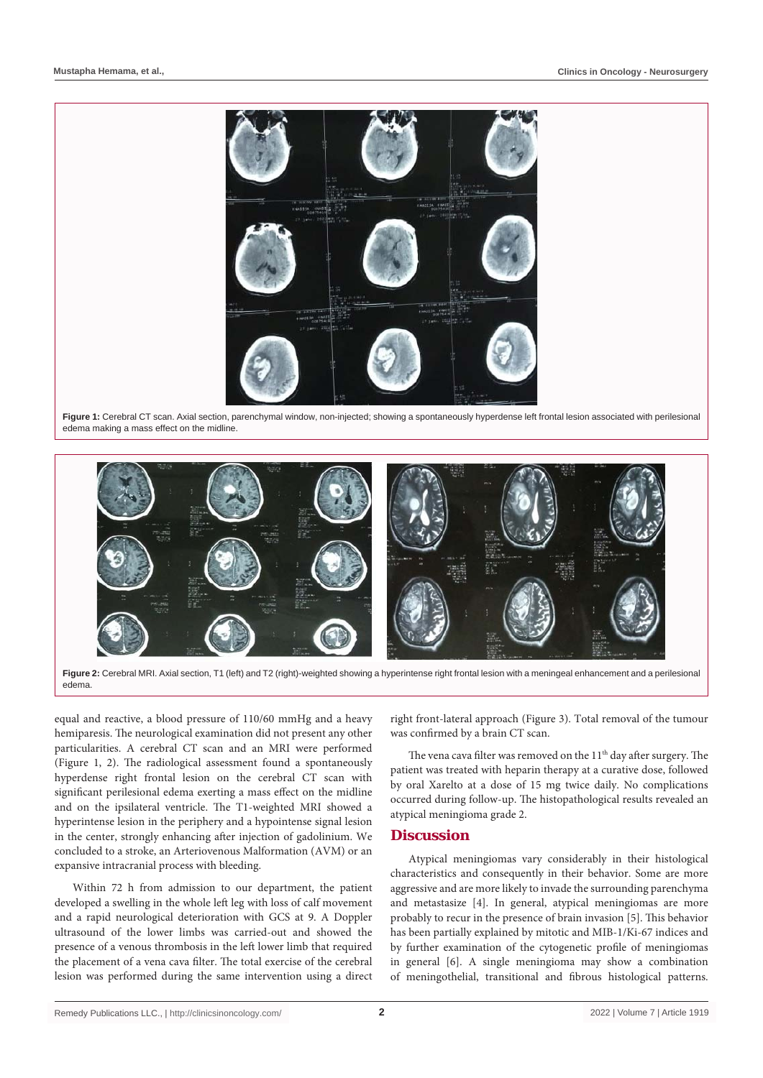

Figure 1: Cerebral CT scan. Axial section, parenchymal window, non-injected; showing a spontaneously hyperdense left frontal lesion associated with perilesional edema making a mass effect on the midline.



**Figure 2:** Cerebral MRI. Axial section, T1 (left) and T2 (right)-weighted showing a hyperintense right frontal lesion with a meningeal enhancement and a perilesional edema.

equal and reactive, a blood pressure of 110/60 mmHg and a heavy hemiparesis. The neurological examination did not present any other particularities. A cerebral CT scan and an MRI were performed (Figure 1, 2). The radiological assessment found a spontaneously hyperdense right frontal lesion on the cerebral CT scan with significant perilesional edema exerting a mass effect on the midline and on the ipsilateral ventricle. The T1-weighted MRI showed a hyperintense lesion in the periphery and a hypointense signal lesion in the center, strongly enhancing after injection of gadolinium. We concluded to a stroke, an Arteriovenous Malformation (AVM) or an expansive intracranial process with bleeding.

Within 72 h from admission to our department, the patient developed a swelling in the whole left leg with loss of calf movement and a rapid neurological deterioration with GCS at 9. A Doppler ultrasound of the lower limbs was carried-out and showed the presence of a venous thrombosis in the left lower limb that required the placement of a vena cava filter. The total exercise of the cerebral lesion was performed during the same intervention using a direct

right front-lateral approach (Figure 3). Total removal of the tumour was confirmed by a brain CT scan.

The vena cava filter was removed on the  $11<sup>th</sup>$  day after surgery. The patient was treated with heparin therapy at a curative dose, followed by oral Xarelto at a dose of 15 mg twice daily. No complications occurred during follow-up. The histopathological results revealed an atypical meningioma grade 2.

### **Discussion**

Atypical meningiomas vary considerably in their histological characteristics and consequently in their behavior. Some are more aggressive and are more likely to invade the surrounding parenchyma and metastasize [4]. In general, atypical meningiomas are more probably to recur in the presence of brain invasion [5]. This behavior has been partially explained by mitotic and MIB-1/Ki-67 indices and by further examination of the cytogenetic profile of meningiomas in general [6]. A single meningioma may show a combination of meningothelial, transitional and fibrous histological patterns.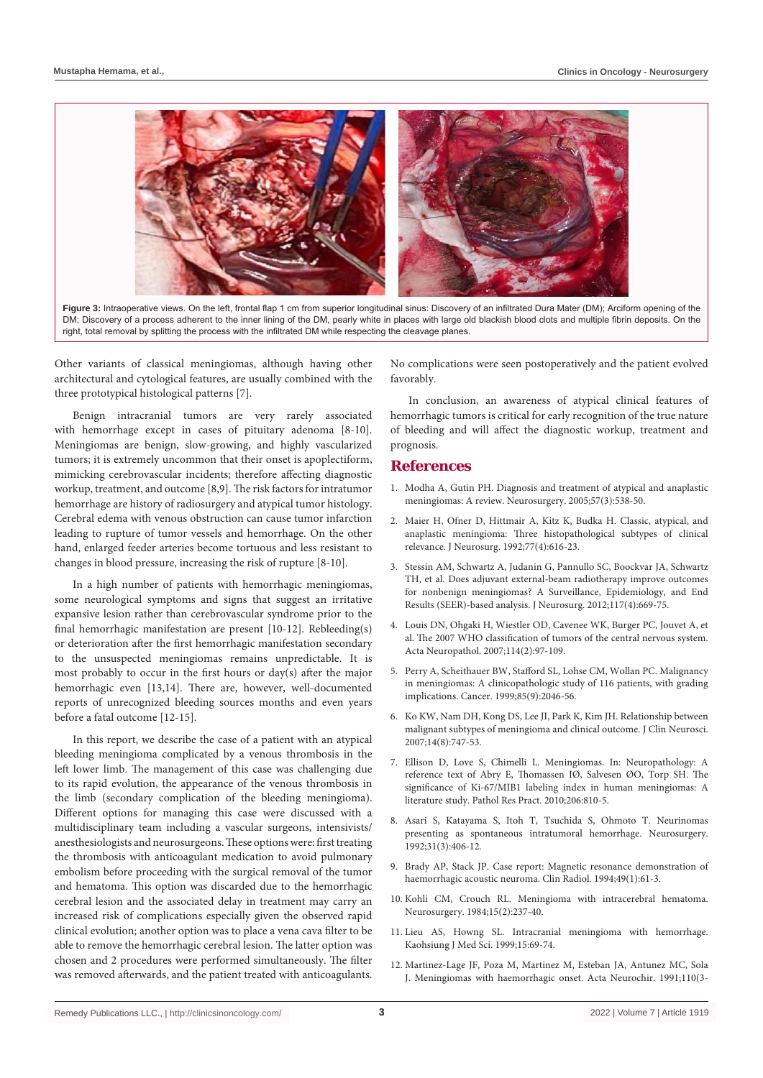

**Figure 3:** Intraoperative views. On the left, frontal flap 1 cm from superior longitudinal sinus: Discovery of an infiltrated Dura Mater (DM); Arciform opening of the DM; Discovery of a process adherent to the inner lining of the DM, pearly white in places with large old blackish blood clots and multiple fibrin deposits. On the right, total removal by splitting the process with the infiltrated DM while respecting the cleavage planes.

Other variants of classical meningiomas, although having other architectural and cytological features, are usually combined with the three prototypical histological patterns [7].

Benign intracranial tumors are very rarely associated with hemorrhage except in cases of pituitary adenoma [8-10]. Meningiomas are benign, slow-growing, and highly vascularized tumors; it is extremely uncommon that their onset is apoplectiform, mimicking cerebrovascular incidents; therefore affecting diagnostic workup, treatment, and outcome [8,9]. The risk factors for intratumor hemorrhage are history of radiosurgery and atypical tumor histology. Cerebral edema with venous obstruction can cause tumor infarction leading to rupture of tumor vessels and hemorrhage. On the other hand, enlarged feeder arteries become tortuous and less resistant to changes in blood pressure, increasing the risk of rupture [8-10].

In a high number of patients with hemorrhagic meningiomas, some neurological symptoms and signs that suggest an irritative expansive lesion rather than cerebrovascular syndrome prior to the final hemorrhagic manifestation are present [10-12]. Rebleeding(s) or deterioration after the first hemorrhagic manifestation secondary to the unsuspected meningiomas remains unpredictable. It is most probably to occur in the first hours or day(s) after the major hemorrhagic even [13,14]. There are, however, well-documented reports of unrecognized bleeding sources months and even years before a fatal outcome [12-15].

In this report, we describe the case of a patient with an atypical bleeding meningioma complicated by a venous thrombosis in the left lower limb. The management of this case was challenging due to its rapid evolution, the appearance of the venous thrombosis in the limb (secondary complication of the bleeding meningioma). Different options for managing this case were discussed with a multidisciplinary team including a vascular surgeons, intensivists/ anesthesiologists and neurosurgeons. These options were: first treating the thrombosis with anticoagulant medication to avoid pulmonary embolism before proceeding with the surgical removal of the tumor and hematoma. This option was discarded due to the hemorrhagic cerebral lesion and the associated delay in treatment may carry an increased risk of complications especially given the observed rapid clinical evolution; another option was to place a vena cava filter to be able to remove the hemorrhagic cerebral lesion. The latter option was chosen and 2 procedures were performed simultaneously. The filter was removed afterwards, and the patient treated with anticoagulants. No complications were seen postoperatively and the patient evolved favorably.

In conclusion, an awareness of atypical clinical features of hemorrhagic tumors is critical for early recognition of the true nature of bleeding and will affect the diagnostic workup, treatment and prognosis.

## **References**

- 1. [Modha A, Gutin PH. Diagnosis and treatment of atypical and anaplastic](https://pubmed.ncbi.nlm.nih.gov/16145534/)  [meningiomas: A review. Neurosurgery. 2005;57\(3\):538-50.](https://pubmed.ncbi.nlm.nih.gov/16145534/)
- 2. [Maier H, Ofner D, Hittmair A, Kitz K, Budka H. Classic, atypical, and](https://pubmed.ncbi.nlm.nih.gov/1527622/)  [anaplastic meningioma: Three histopathological subtypes of clinical](https://pubmed.ncbi.nlm.nih.gov/1527622/)  [relevance. J Neurosurg. 1992;77\(4\):616-23.](https://pubmed.ncbi.nlm.nih.gov/1527622/)
- 3. [Stessin AM, Schwartz A, Judanin G, Pannullo SC, Boockvar JA, Schwartz](https://pubmed.ncbi.nlm.nih.gov/22900840/)  [TH, et al. Does adjuvant external-beam radiotherapy improve outcomes](https://pubmed.ncbi.nlm.nih.gov/22900840/)  [for nonbenign meningiomas? A Surveillance, Epidemiology, and End](https://pubmed.ncbi.nlm.nih.gov/22900840/)  [Results \(SEER\)-based analysis. J Neurosurg. 2012;117\(4\):669-75.](https://pubmed.ncbi.nlm.nih.gov/22900840/)
- 4. Louis DN, Ohgaki H, Wiestler OD, Cavenee WK, Burger PC, Jouvet A, et al. The 2007 WHO classification of tumors of the central nervous system. Acta Neuropathol. 2007;114(2):97-109.
- 5. [Perry A, Scheithauer BW, Stafford SL, Lohse CM, Wollan PC. Malignancy](https://pubmed.ncbi.nlm.nih.gov/10223247/)  [in meningiomas: A clinicopathologic study of 116 patients, with grading](https://pubmed.ncbi.nlm.nih.gov/10223247/)  [implications. Cancer. 1999;85\(9\):2046-56.](https://pubmed.ncbi.nlm.nih.gov/10223247/)
- 6. [Ko KW, Nam DH, Kong DS, Lee JI, Park K, Kim JH. Relationship between](https://pubmed.ncbi.nlm.nih.gov/17499508/)  [malignant subtypes of meningioma and clinical outcome. J Clin Neurosci.](https://pubmed.ncbi.nlm.nih.gov/17499508/)  [2007;14\(8\):747-53.](https://pubmed.ncbi.nlm.nih.gov/17499508/)
- 7. Ellison D, Love S, Chimelli L. Meningiomas. In: Neuropathology: A reference text of Abry E, Thomassen IØ, Salvesen ØO, Torp SH. The significance of Ki-67/MIB1 labeling index in human meningiomas: A literature study. Pathol Res Pract. 2010;206:810-5.
- 8. [Asari S, Katayama S, Itoh T, Tsuchida S, Ohmoto T. Neurinomas](https://pubmed.ncbi.nlm.nih.gov/1407422/)  [presenting as spontaneous intratumoral hemorrhage. Neurosurgery.](https://pubmed.ncbi.nlm.nih.gov/1407422/)  [1992;31\(3\):406-12.](https://pubmed.ncbi.nlm.nih.gov/1407422/)
- 9. [Brady AP, Stack JP. Case report: Magnetic resonance demonstration of](https://www.clinicalradiologyonline.net/article/S0009-9260(05)82918-6/fulltext)  [haemorrhagic acoustic neuroma. Clin Radiol. 1994;49\(1\):61-3.](https://www.clinicalradiologyonline.net/article/S0009-9260(05)82918-6/fulltext)
- 10. [Kohli CM, Crouch RL. Meningioma with intracerebral hematoma.](https://pubmed.ncbi.nlm.nih.gov/6483140/)  [Neurosurgery. 1984;15\(2\):237-40.](https://pubmed.ncbi.nlm.nih.gov/6483140/)
- 11. Lieu AS, Howng SL. Intracranial meningioma with hemorrhage. Kaohsiung J Med Sci. 1999;15:69-74.
- 12. [Martinez-Lage JF, Poza M, Martinez M, Esteban JA, Antunez MC, Sola](https://pubmed.ncbi.nlm.nih.gov/1927604/)  [J. Meningiomas with haemorrhagic onset. Acta Neurochir. 1991;110\(3-](https://pubmed.ncbi.nlm.nih.gov/1927604/)